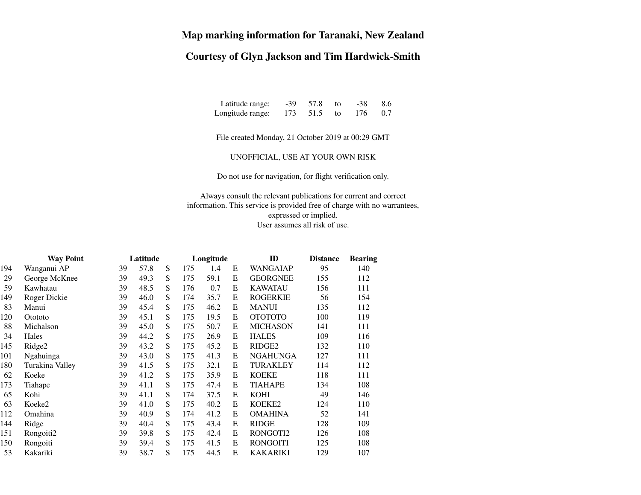## **Map marking information for Taranaki, New Zealand**

## **Courtesy of Glyn Jackson and Tim Hardwick-Smith**

Latitude range: -39 57.8 to $-38$  8.6<br>176 0.7 Longitude range: 173 51.5 to176

File created Monday, 21 October 2019 at 00:29 GMT

UNOFFICIAL, USE AT YOUR OWN RISK

Do not use for navigation, for flight verification only.

Always consult the relevant publications for current and correct information. This service is provided free of charge with no warrantees,expressed or implied.User assumes all risk of use.

| <b>Way Point</b> |                 | Latitude |      |   |     | Longitude |   | ID                 | <b>Distance</b> | <b>Bearing</b> |
|------------------|-----------------|----------|------|---|-----|-----------|---|--------------------|-----------------|----------------|
| 194              | Wanganui AP     | 39       | 57.8 | S | 175 | 1.4       | E | <b>WANGAIAP</b>    | 95              | 140            |
| 29               | George McKnee   | 39       | 49.3 | S | 175 | 59.1      | E | <b>GEORGNEE</b>    | 155             | 112            |
| 59               | Kawhatau        | 39       | 48.5 | S | 176 | 0.7       | E | <b>KAWATAU</b>     | 156             | 111            |
| 149              | Roger Dickie    | 39       | 46.0 | S | 174 | 35.7      | E | <b>ROGERKIE</b>    | 56              | 154            |
| 83               | Manui           | 39       | 45.4 | S | 175 | 46.2      | E | <b>MANUI</b>       | 135             | 112            |
| 120              | Otototo         | 39       | 45.1 | S | 175 | 19.5      | E | <b>OTOTOTO</b>     | 100             | 119            |
| 88               | Michalson       | 39       | 45.0 | S | 175 | 50.7      | E | <b>MICHASON</b>    | 141             | 111            |
| 34               | Hales           | 39       | 44.2 | S | 175 | 26.9      | E | <b>HALES</b>       | 109             | 116            |
| 145              | Ridge2          | 39       | 43.2 | S | 175 | 45.2      | Ε | RIDGE <sub>2</sub> | 132             | 110            |
| 101              | Ngahuinga       | 39       | 43.0 | S | 175 | 41.3      | E | <b>NGAHUNGA</b>    | 127             | 111            |
| 180              | Turakina Valley | 39       | 41.5 | S | 175 | 32.1      | E | <b>TURAKLEY</b>    | 114             | 112            |
| 62               | Koeke           | 39       | 41.2 | S | 175 | 35.9      | E | <b>KOEKE</b>       | 118             | 111            |
| 173              | Tiahape         | 39       | 41.1 | S | 175 | 47.4      | E | <b>TIAHAPE</b>     | 134             | 108            |
| 65               | Kohi            | 39       | 41.1 | S | 174 | 37.5      | E | <b>KOHI</b>        | 49              | 146            |
| 63               | Koeke2          | 39       | 41.0 | S | 175 | 40.2      | E | KOEKE2             | 124             | 110            |
| 112              | Omahina         | 39       | 40.9 | S | 174 | 41.2      | E | <b>OMAHINA</b>     | 52              | 141            |
| 144              | Ridge           | 39       | 40.4 | S | 175 | 43.4      | Ε | <b>RIDGE</b>       | 128             | 109            |
| 151              | Rongoiti2       | 39       | 39.8 | S | 175 | 42.4      | E | RONGOTI2           | 126             | 108            |
| 150              | Rongoiti        | 39       | 39.4 | S | 175 | 41.5      | E | <b>RONGOITI</b>    | 125             | 108            |
| 53               | Kakariki        | 39       | 38.7 | S | 175 | 44.5      | E | <b>KAKARIKI</b>    | 129             | 107            |
|                  |                 |          |      |   |     |           |   |                    |                 |                |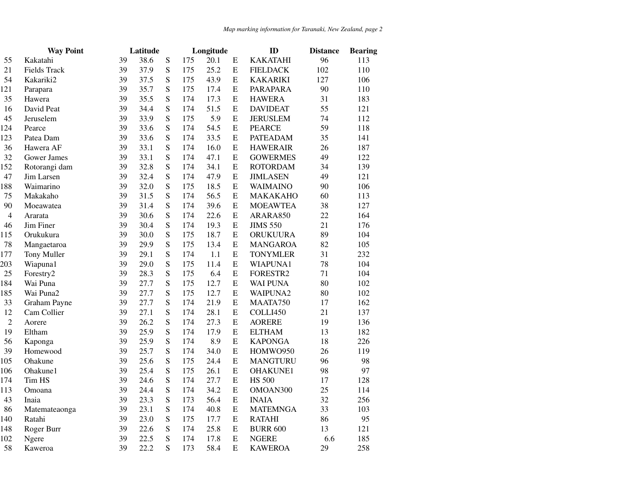|                | <b>Way Point</b>    | Latitude |      |   |     | Longitude |             | ID              | <b>Distance</b> | <b>Bearing</b> |
|----------------|---------------------|----------|------|---|-----|-----------|-------------|-----------------|-----------------|----------------|
| 55             | Kakatahi            | 39       | 38.6 | S | 175 | 20.1      | E           | <b>KAKATAHI</b> | 96              | 113            |
| 21             | <b>Fields Track</b> | 39       | 37.9 | S | 175 | 25.2      | ${\bf E}$   | <b>FIELDACK</b> | 102             | 110            |
| 54             | Kakariki2           | 39       | 37.5 | S | 175 | 43.9      | ${\bf E}$   | <b>KAKARIKI</b> | 127             | 106            |
| 121            | Parapara            | 39       | 35.7 | S | 175 | 17.4      | ${\bf E}$   | PARAPARA        | 90              | 110            |
| 35             | Hawera              | 39       | 35.5 | S | 174 | 17.3      | ${\bf E}$   | <b>HAWERA</b>   | 31              | 183            |
| 16             | David Peat          | 39       | 34.4 | S | 174 | 51.5      | ${\bf E}$   | <b>DAVIDEAT</b> | 55              | 121            |
| 45             | Jeruselem           | 39       | 33.9 | S | 175 | 5.9       | ${\bf E}$   | <b>JERUSLEM</b> | 74              | 112            |
| 124            | Pearce              | 39       | 33.6 | S | 174 | 54.5      | ${\bf E}$   | <b>PEARCE</b>   | 59              | 118            |
| 123            | Patea Dam           | 39       | 33.6 | S | 174 | 33.5      | ${\bf E}$   | <b>PATEADAM</b> | 35              | 141            |
| 36             | Hawera AF           | 39       | 33.1 | S | 174 | 16.0      | ${\bf E}$   | <b>HAWERAIR</b> | 26              | 187            |
| 32             | <b>Gower James</b>  | 39       | 33.1 | S | 174 | 47.1      | ${\bf E}$   | <b>GOWERMES</b> | 49              | 122            |
| 152            | Rotorangi dam       | 39       | 32.8 | S | 174 | 34.1      | ${\bf E}$   | <b>ROTORDAM</b> | 34              | 139            |
| 47             | Jim Larsen          | 39       | 32.4 | S | 174 | 47.9      | ${\bf E}$   | <b>JIMLASEN</b> | 49              | 121            |
| 188            | Waimarino           | 39       | 32.0 | S | 175 | 18.5      | ${\bf E}$   | <b>WAIMAINO</b> | 90              | 106            |
| 75             | Makakaho            | 39       | 31.5 | S | 174 | 56.5      | Е           | <b>MAKAKAHO</b> | 60              | 113            |
| 90             | Moeawatea           | 39       | 31.4 | S | 174 | 39.6      | ${\bf E}$   | <b>MOEAWTEA</b> | 38              | 127            |
| $\overline{4}$ | Ararata             | 39       | 30.6 | S | 174 | 22.6      | ${\bf E}$   | ARARA850        | 22              | 164            |
| 46             | Jim Finer           | 39       | 30.4 | S | 174 | 19.3      | ${\bf E}$   | <b>JIMS 550</b> | 21              | 176            |
| 115            | Orukukura           | 39       | 30.0 | S | 175 | 18.7      | ${\bf E}$   | <b>ORUKUURA</b> | 89              | 104            |
| 78             | Mangaetaroa         | 39       | 29.9 | S | 175 | 13.4      | ${\bf E}$   | <b>MANGAROA</b> | 82              | 105            |
| 177            | Tony Muller         | 39       | 29.1 | S | 174 | 1.1       | ${\bf E}$   | <b>TONYMLER</b> | 31              | 232            |
| 203            | Wiapuna1            | 39       | 29.0 | S | 175 | 11.4      | ${\bf E}$   | WIAPUNA1        | 78              | 104            |
| 25             | Forestry2           | 39       | 28.3 | S | 175 | 6.4       | ${\bf E}$   | FORESTR2        | 71              | 104            |
| 184            | Wai Puna            | 39       | 27.7 | S | 175 | 12.7      | ${\bf E}$   | <b>WAI PUNA</b> | 80              | 102            |
| 185            | Wai Puna2           | 39       | 27.7 | S | 175 | 12.7      | ${\bf E}$   | WAIPUNA2        | 80              | 102            |
| 33             | Graham Payne        | 39       | 27.7 | S | 174 | 21.9      | $\mathbf E$ | MAATA750        | 17              | 162            |
| 12             | Cam Collier         | 39       | 27.1 | S | 174 | 28.1      | ${\bf E}$   | COLLI450        | 21              | 137            |
| $\sqrt{2}$     | Aorere              | 39       | 26.2 | S | 174 | 27.3      | ${\bf E}$   | <b>AORERE</b>   | 19              | 136            |
| 19             | Eltham              | 39       | 25.9 | S | 174 | 17.9      | ${\bf E}$   | <b>ELTHAM</b>   | 13              | 182            |
| 56             | Kaponga             | 39       | 25.9 | S | 174 | 8.9       | ${\bf E}$   | <b>KAPONGA</b>  | 18              | 226            |
| 39             | Homewood            | 39       | 25.7 | S | 174 | 34.0      | ${\bf E}$   | HOMWO950        | 26              | 119            |
| 105            | Ohakune             | 39       | 25.6 | S | 175 | 24.4      | ${\bf E}$   | <b>MANGTURU</b> | 96              | 98             |
| 106            | Ohakune1            | 39       | 25.4 | S | 175 | 26.1      | ${\bf E}$   | <b>OHAKUNE1</b> | 98              | 97             |
| 174            | Tim HS              | 39       | 24.6 | S | 174 | 27.7      | ${\bf E}$   | <b>HS 500</b>   | 17              | 128            |
| 113            | Omoana              | 39       | 24.4 | S | 174 | 34.2      | ${\bf E}$   | OMOAN300        | 25              | 114            |
| 43             | Inaia               | 39       | 23.3 | S | 173 | 56.4      | ${\bf E}$   | <b>INAIA</b>    | 32              | 256            |
| 86             | Matemateaonga       | 39       | 23.1 | S | 174 | 40.8      | $\mathbf E$ | <b>MATEMNGA</b> | 33              | 103            |
| 140            | Ratahi              | 39       | 23.0 | S | 175 | 17.7      | ${\bf E}$   | <b>RATAHI</b>   | 86              | 95             |
| 148            | Roger Burr          | 39       | 22.6 | S | 174 | 25.8      | ${\bf E}$   | <b>BURR 600</b> | 13              | 121            |
| 102            | Ngere               | 39       | 22.5 | S | 174 | 17.8      | ${\bf E}$   | <b>NGERE</b>    | 6.6             | 185            |
| 58             | Kaweroa             | 39       | 22.2 | S | 173 | 58.4      | E           | <b>KAWEROA</b>  | 29              | 258            |
|                |                     |          |      |   |     |           |             |                 |                 |                |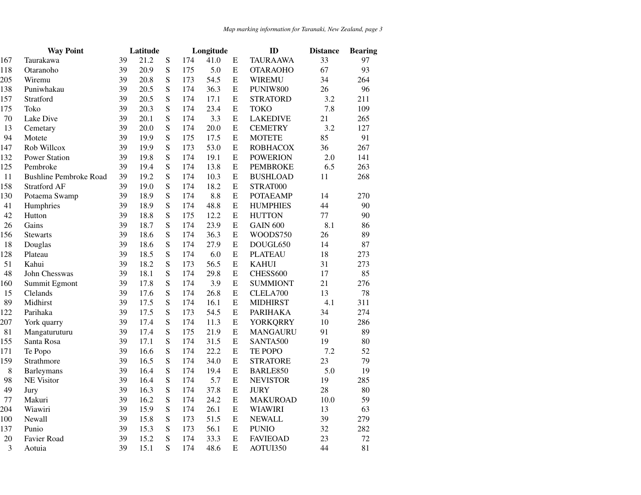|        | <b>Way Point</b>              | Latitude |      |           | Longitude |      |             | ID              | <b>Distance</b> | <b>Bearing</b> |
|--------|-------------------------------|----------|------|-----------|-----------|------|-------------|-----------------|-----------------|----------------|
| 167    | Taurakawa                     | 39       | 21.2 | ${\bf S}$ | 174       | 41.0 | Ε           | <b>TAURAAWA</b> | 33              | 97             |
| 118    | Otaranoho                     | 39       | 20.9 | S         | 175       | 5.0  | ${\bf E}$   | <b>OTARAOHO</b> | 67              | 93             |
| 205    | Wiremu                        | 39       | 20.8 | S         | 173       | 54.5 | ${\bf E}$   | <b>WIREMU</b>   | 34              | 264            |
| 138    | Puniwhakau                    | 39       | 20.5 | S         | 174       | 36.3 | ${\bf E}$   | PUNIW800        | 26              | 96             |
| 157    | Stratford                     | 39       | 20.5 | ${\bf S}$ | 174       | 17.1 | E           | <b>STRATORD</b> | 3.2             | 211            |
| 175    | Toko                          | 39       | 20.3 | S         | 174       | 23.4 | ${\bf E}$   | <b>TOKO</b>     | 7.8             | 109            |
| $70\,$ | Lake Dive                     | 39       | 20.1 | S         | 174       | 3.3  | ${\bf E}$   | <b>LAKEDIVE</b> | 21              | 265            |
| 13     | Cemetary                      | 39       | 20.0 | S         | 174       | 20.0 | ${\bf E}$   | <b>CEMETRY</b>  | 3.2             | 127            |
| 94     | Motete                        | 39       | 19.9 | S         | 175       | 17.5 | ${\bf E}$   | <b>MOTETE</b>   | 85              | 91             |
| 147    | Rob Willcox                   | 39       | 19.9 | S         | 173       | 53.0 | ${\bf E}$   | <b>ROBHACOX</b> | 36              | 267            |
| 132    | <b>Power Station</b>          | 39       | 19.8 | S         | 174       | 19.1 | ${\bf E}$   | <b>POWERION</b> | 2.0             | 141            |
| 125    | Pembroke                      | 39       | 19.4 | S         | 174       | 13.8 | ${\bf E}$   | <b>PEMBROKE</b> | 6.5             | 263            |
| 11     | <b>Bushline Pembroke Road</b> | 39       | 19.2 | S         | 174       | 10.3 | ${\bf E}$   | <b>BUSHLOAD</b> | 11              | 268            |
| 158    | Stratford AF                  | 39       | 19.0 | S         | 174       | 18.2 | $\mathbf E$ | STRAT000        |                 |                |
| 130    | Potaema Swamp                 | 39       | 18.9 | ${\bf S}$ | 174       | 8.8  | ${\bf E}$   | <b>POTAEAMP</b> | 14              | 270            |
| 41     | Humphries                     | 39       | 18.9 | S         | 174       | 48.8 | ${\bf E}$   | <b>HUMPHIES</b> | 44              | 90             |
| 42     | Hutton                        | 39       | 18.8 | S         | 175       | 12.2 | ${\bf E}$   | <b>HUTTON</b>   | 77              | 90             |
| 26     | Gains                         | 39       | 18.7 | S         | 174       | 23.9 | ${\bf E}$   | <b>GAIN 600</b> | 8.1             | 86             |
| 156    | <b>Stewarts</b>               | 39       | 18.6 | S         | 174       | 36.3 | ${\bf E}$   | WOODS750        | 26              | 89             |
| 18     | Douglas                       | 39       | 18.6 | S         | 174       | 27.9 | ${\bf E}$   | DOUGL650        | 14              | 87             |
| 128    | Plateau                       | 39       | 18.5 | S         | 174       | 6.0  | ${\bf E}$   | <b>PLATEAU</b>  | 18              | 273            |
| 51     | Kahui                         | 39       | 18.2 | S         | 173       | 56.5 | ${\bf E}$   | <b>KAHUI</b>    | 31              | 273            |
| 48     | John Chesswas                 | 39       | 18.1 | S         | 174       | 29.8 | ${\bf E}$   | CHESS600        | 17              | 85             |
| 160    | Summit Egmont                 | 39       | 17.8 | ${\bf S}$ | 174       | 3.9  | ${\bf E}$   | <b>SUMMIONT</b> | 21              | 276            |
| 15     | Clelands                      | 39       | 17.6 | S         | 174       | 26.8 | ${\bf E}$   | CLELA700        | 13              | 78             |
| 89     | Midhirst                      | 39       | 17.5 | S         | 174       | 16.1 | ${\bf E}$   | <b>MIDHIRST</b> | 4.1             | 311            |
| 122    | Parihaka                      | 39       | 17.5 | S         | 173       | 54.5 | ${\bf E}$   | <b>PARIHAKA</b> | 34              | 274            |
| 207    | York quarry                   | 39       | 17.4 | ${\bf S}$ | 174       | 11.3 | E           | <b>YORKQRRY</b> | 10              | 286            |
| 81     | Mangaturuturu                 | 39       | 17.4 | S         | 175       | 21.9 | ${\bf E}$   | <b>MANGAURU</b> | 91              | 89             |
| 155    | Santa Rosa                    | 39       | 17.1 | S         | 174       | 31.5 | ${\bf E}$   | SANTA500        | 19              | 80             |
| 171    | Te Popo                       | 39       | 16.6 | S         | 174       | 22.2 | ${\bf E}$   | TE POPO         | 7.2             | 52             |
| 159    | Strathmore                    | 39       | 16.5 | S         | 174       | 34.0 | ${\bf E}$   | <b>STRATORE</b> | 23              | 79             |
| $\,8$  | <b>Barleymans</b>             | 39       | 16.4 | ${\bf S}$ | 174       | 19.4 | ${\bf E}$   | BARLE850        | 5.0             | 19             |
| 98     | <b>NE Visitor</b>             | 39       | 16.4 | S         | 174       | 5.7  | ${\bf E}$   | <b>NEVISTOR</b> | 19              | 285            |
| 49     | Jury                          | 39       | 16.3 | S         | 174       | 37.8 | ${\bf E}$   | <b>JURY</b>     | 28              | 80             |
| 77     | Makuri                        | 39       | 16.2 | S         | 174       | 24.2 | ${\bf E}$   | <b>MAKUROAD</b> | 10.0            | 59             |
| 204    | Wiawiri                       | 39       | 15.9 | S         | 174       | 26.1 | ${\bf E}$   | <b>WIAWIRI</b>  | 13              | 63             |
| 100    | Newall                        | 39       | 15.8 | S         | 173       | 51.5 | ${\bf E}$   | <b>NEWALL</b>   | 39              | 279            |
| 137    | Punio                         | 39       | 15.3 | S         | 173       | 56.1 | ${\bf E}$   | <b>PUNIO</b>    | 32              | 282            |
| 20     | Favier Road                   | 39       | 15.2 | S         | 174       | 33.3 | ${\bf E}$   | <b>FAVIEOAD</b> | 23              | 72             |
| 3      | Aotuia                        | 39       | 15.1 | S         | 174       | 48.6 | ${\bf E}$   | AOTUI350        | 44              | 81             |
|        |                               |          |      |           |           |      |             |                 |                 |                |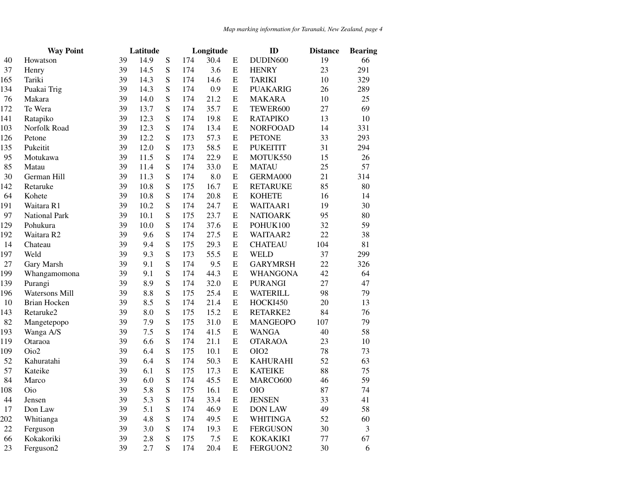|        | <b>Way Point</b> | Latitude |      |           |     | Longitude |           | ID               | <b>Distance</b> | <b>Bearing</b> |
|--------|------------------|----------|------|-----------|-----|-----------|-----------|------------------|-----------------|----------------|
| 40     | Howatson         | 39       | 14.9 | ${\bf S}$ | 174 | 30.4      | E         | DUDIN600         | 19              | 66             |
| 37     | Henry            | 39       | 14.5 | S         | 174 | 3.6       | ${\bf E}$ | <b>HENRY</b>     | 23              | 291            |
| 165    | Tariki           | 39       | 14.3 | S         | 174 | 14.6      | ${\bf E}$ | <b>TARIKI</b>    | 10              | 329            |
| 134    | Puakai Trig      | 39       | 14.3 | S         | 174 | 0.9       | ${\bf E}$ | <b>PUAKARIG</b>  | 26              | 289            |
| 76     | Makara           | 39       | 14.0 | S         | 174 | 21.2      | ${\bf E}$ | <b>MAKARA</b>    | 10              | 25             |
| 172    | Te Wera          | 39       | 13.7 | S         | 174 | 35.7      | Е         | TEWER600         | 27              | 69             |
| 141    | Ratapiko         | 39       | 12.3 | S         | 174 | 19.8      | ${\bf E}$ | <b>RATAPIKO</b>  | 13              | 10             |
| 103    | Norfolk Road     | 39       | 12.3 | S         | 174 | 13.4      | ${\bf E}$ | <b>NORFOOAD</b>  | 14              | 331            |
| 126    | Petone           | 39       | 12.2 | S         | 173 | 57.3      | ${\bf E}$ | <b>PETONE</b>    | 33              | 293            |
| 135    | Pukeitit         | 39       | 12.0 | S         | 173 | 58.5      | ${\bf E}$ | <b>PUKEITIT</b>  | 31              | 294            |
| 95     | Motukawa         | 39       | 11.5 | S         | 174 | 22.9      | ${\bf E}$ | MOTUK550         | 15              | 26             |
| 85     | Matau            | 39       | 11.4 | S         | 174 | 33.0      | ${\bf E}$ | <b>MATAU</b>     | 25              | 57             |
| 30     | German Hill      | 39       | 11.3 | S         | 174 | 8.0       | ${\bf E}$ | GERMA000         | 21              | 314            |
| 142    | Retaruke         | 39       | 10.8 | S         | 175 | 16.7      | ${\bf E}$ | <b>RETARUKE</b>  | 85              | 80             |
| 64     | Kohete           | 39       | 10.8 | S         | 174 | 20.8      | E         | <b>KOHETE</b>    | 16              | 14             |
| 191    | Waitara R1       | 39       | 10.2 | S         | 174 | 24.7      | ${\bf E}$ | WAITAAR1         | 19              | 30             |
| 97     | National Park    | 39       | 10.1 | S         | 175 | 23.7      | E         | <b>NATIOARK</b>  | 95              | 80             |
| 129    | Pohukura         | 39       | 10.0 | S         | 174 | 37.6      | ${\bf E}$ | POHUK100         | 32              | 59             |
| 192    | Waitara R2       | 39       | 9.6  | S         | 174 | 27.5      | ${\bf E}$ | WAITAAR2         | 22              | 38             |
| 14     | Chateau          | 39       | 9.4  | S         | 175 | 29.3      | ${\bf E}$ | <b>CHATEAU</b>   | 104             | 81             |
| 197    | Weld             | 39       | 9.3  | S         | 173 | 55.5      | ${\bf E}$ | <b>WELD</b>      | 37              | 299            |
| 27     | Gary Marsh       | 39       | 9.1  | S         | 174 | 9.5       | ${\bf E}$ | <b>GARYMRSH</b>  | 22              | 326            |
| 199    | Whangamomona     | 39       | 9.1  | S         | 174 | 44.3      | ${\bf E}$ | <b>WHANGONA</b>  | 42              | 64             |
| 139    | Purangi          | 39       | 8.9  | S         | 174 | 32.0      | ${\bf E}$ | <b>PURANGI</b>   | 27              | 47             |
| 196    | Watersons Mill   | 39       | 8.8  | S         | 175 | 25.4      | ${\bf E}$ | <b>WATERILL</b>  | 98              | 79             |
| 10     | Brian Hocken     | 39       | 8.5  | S         | 174 | 21.4      | E         | HOCKI450         | 20              | 13             |
| 143    | Retaruke2        | 39       | 8.0  | S         | 175 | 15.2      | ${\bf E}$ | RETARKE2         | 84              | 76             |
| 82     | Mangetepopo      | 39       | 7.9  | S         | 175 | 31.0      | ${\bf E}$ | <b>MANGEOPO</b>  | 107             | 79             |
| 193    | Wanga A/S        | 39       | 7.5  | S         | 174 | 41.5      | ${\bf E}$ | <b>WANGA</b>     | 40              | 58             |
| 119    | Otaraoa          | 39       | 6.6  | S         | 174 | 21.1      | ${\bf E}$ | <b>OTARAOA</b>   | 23              | 10             |
| 109    | Oio2             | 39       | 6.4  | S         | 175 | 10.1      | ${\bf E}$ | OIO <sub>2</sub> | 78              | 73             |
| 52     | Kahuratahi       | 39       | 6.4  | S         | 174 | 50.3      | ${\bf E}$ | <b>KAHURAHI</b>  | 52              | 63             |
| 57     | Kateike          | 39       | 6.1  | S         | 175 | 17.3      | E         | <b>KATEIKE</b>   | 88              | 75             |
| 84     | Marco            | 39       | 6.0  | S         | 174 | 45.5      | ${\bf E}$ | MARCO600         | 46              | 59             |
| 108    | Oio              | 39       | 5.8  | S         | 175 | 16.1      | E         | <b>OIO</b>       | 87              | 74             |
| 44     | Jensen           | 39       | 5.3  | S         | 174 | 33.4      | ${\bf E}$ | <b>JENSEN</b>    | 33              | 41             |
| 17     | Don Law          | 39       | 5.1  | S         | 174 | 46.9      | ${\bf E}$ | <b>DON LAW</b>   | 49              | 58             |
| 202    | Whitianga        | 39       | 4.8  | S         | 174 | 49.5      | ${\bf E}$ | <b>WHITINGA</b>  | 52              | 60             |
| $22\,$ | Ferguson         | 39       | 3.0  | S         | 174 | 19.3      | ${\bf E}$ | <b>FERGUSON</b>  | 30              | 3              |
| 66     | Kokakoriki       | 39       | 2.8  | S         | 175 | 7.5       | ${\bf E}$ | <b>KOKAKIKI</b>  | $77 \,$         | 67             |
| 23     | Ferguson2        | 39       | 2.7  | S         | 174 | 20.4      | E         | FERGUON2         | 30              | 6              |
|        |                  |          |      |           |     |           |           |                  |                 |                |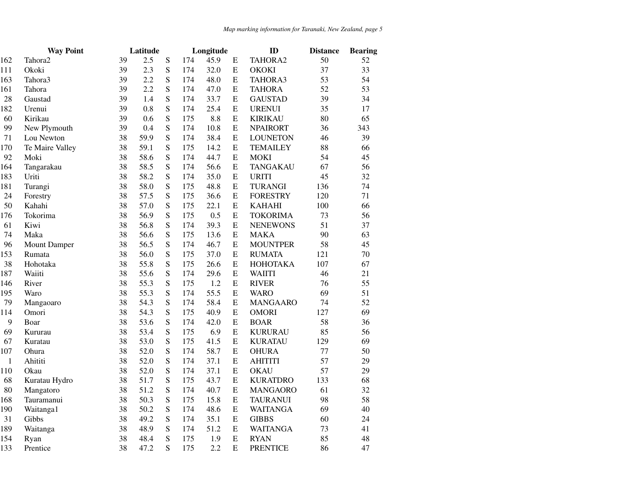|              | <b>Way Point</b>    | Latitude |      |             |     | Longitude |             | ID              | <b>Distance</b> | <b>Bearing</b> |
|--------------|---------------------|----------|------|-------------|-----|-----------|-------------|-----------------|-----------------|----------------|
| 162          | Tahora <sub>2</sub> | 39       | 2.5  | ${\bf S}$   | 174 | 45.9      | E           | TAHORA2         | 50              | 52             |
| 111          | Okoki               | 39       | 2.3  | ${\bf S}$   | 174 | 32.0      | ${\bf E}$   | <b>OKOKI</b>    | 37              | 33             |
| 163          | Tahora3             | 39       | 2.2  | ${\bf S}$   | 174 | 48.0      | ${\bf E}$   | TAHORA3         | 53              | 54             |
| 161          | Tahora              | 39       | 2.2  | ${\bf S}$   | 174 | 47.0      | ${\bf E}$   | <b>TAHORA</b>   | 52              | 53             |
| 28           | Gaustad             | 39       | 1.4  | ${\bf S}$   | 174 | 33.7      | ${\bf E}$   | <b>GAUSTAD</b>  | 39              | 34             |
| 182          | Urenui              | 39       | 0.8  | ${\bf S}$   | 174 | 25.4      | E           | <b>URENUI</b>   | 35              | 17             |
| 60           | Kirikau             | 39       | 0.6  | ${\bf S}$   | 175 | 8.8       | ${\bf E}$   | <b>KIRIKAU</b>  | 80              | 65             |
| 99           | New Plymouth        | 39       | 0.4  | ${\bf S}$   | 174 | 10.8      | ${\bf E}$   | <b>NPAIRORT</b> | 36              | 343            |
| 71           | Lou Newton          | 38       | 59.9 | ${\bf S}$   | 174 | 38.4      | ${\bf E}$   | <b>LOUNETON</b> | 46              | 39             |
| 170          | Te Maire Valley     | 38       | 59.1 | S           | 175 | 14.2      | E           | <b>TEMAILEY</b> | 88              | 66             |
| 92           | Moki                | 38       | 58.6 | ${\bf S}$   | 174 | 44.7      | ${\bf E}$   | MOKI            | 54              | 45             |
| 164          | Tangarakau          | 38       | 58.5 | ${\bf S}$   | 174 | 56.6      | ${\bf E}$   | <b>TANGAKAU</b> | 67              | 56             |
| 183          | Uriti               | 38       | 58.2 | ${\bf S}$   | 174 | 35.0      | ${\bf E}$   | <b>URITI</b>    | 45              | 32             |
| 181          | Turangi             | 38       | 58.0 | ${\bf S}$   | 175 | 48.8      | ${\bf E}$   | <b>TURANGI</b>  | 136             | 74             |
| 24           | Forestry            | 38       | 57.5 | ${\bf S}$   | 175 | 36.6      | E           | <b>FORESTRY</b> | 120             | 71             |
| 50           | Kahahi              | 38       | 57.0 | ${\bf S}$   | 175 | 22.1      | ${\bf E}$   | <b>KAHAHI</b>   | 100             | 66             |
| 176          | Tokorima            | 38       | 56.9 | ${\bf S}$   | 175 | 0.5       | ${\bf E}$   | <b>TOKORIMA</b> | 73              | 56             |
| 61           | Kiwi                | 38       | 56.8 | ${\bf S}$   | 174 | 39.3      | ${\bf E}$   | <b>NENEWONS</b> | 51              | 37             |
| 74           | Maka                | 38       | 56.6 | ${\bf S}$   | 175 | 13.6      | ${\bf E}$   | <b>MAKA</b>     | 90              | 63             |
| 96           | Mount Damper        | 38       | 56.5 | ${\bf S}$   | 174 | 46.7      | ${\bf E}$   | <b>MOUNTPER</b> | 58              | 45             |
| 153          | Rumata              | 38       | 56.0 | ${\bf S}$   | 175 | 37.0      | E           | <b>RUMATA</b>   | 121             | 70             |
| 38           | Hohotaka            | 38       | 55.8 | ${\bf S}$   | 175 | 26.6      | ${\bf E}$   | <b>HOHOTAKA</b> | 107             | 67             |
| 187          | Waiiti              | 38       | 55.6 | ${\bf S}$   | 174 | 29.6      | E           | <b>WAIITI</b>   | 46              | 21             |
| 146          | River               | 38       | 55.3 | ${\bf S}$   | 175 | 1.2       | ${\bf E}$   | <b>RIVER</b>    | 76              | 55             |
| 195          | Waro                | 38       | 55.3 | S           | 174 | 55.5      | ${\bf E}$   | <b>WARO</b>     | 69              | 51             |
| 79           | Mangaoaro           | 38       | 54.3 | ${\bf S}$   | 174 | 58.4      | ${\bf E}$   | <b>MANGAARO</b> | 74              | 52             |
| 114          | Omori               | 38       | 54.3 | ${\bf S}$   | 175 | 40.9      | ${\bf E}$   | <b>OMORI</b>    | 127             | 69             |
| 9            | Boar                | 38       | 53.6 | ${\bf S}$   | 174 | 42.0      | E           | <b>BOAR</b>     | 58              | 36             |
| 69           | Kururau             | 38       | 53.4 | ${\bf S}$   | 175 | 6.9       | ${\bf E}$   | <b>KURURAU</b>  | 85              | 56             |
| 67           | Kuratau             | 38       | 53.0 | S           | 175 | 41.5      | ${\bf E}$   | <b>KURATAU</b>  | 129             | 69             |
| 107          | Ohura               | 38       | 52.0 | $\mathbf S$ | 174 | 58.7      | ${\bf E}$   | <b>OHURA</b>    | 77              | 50             |
| $\mathbf{1}$ | Ahititi             | 38       | 52.0 | ${\bf S}$   | 174 | 37.1      | $\mathbf E$ | <b>AHITITI</b>  | 57              | 29             |
| 110          | Okau                | 38       | 52.0 | ${\bf S}$   | 174 | 37.1      | ${\bf E}$   | <b>OKAU</b>     | 57              | 29             |
| 68           | Kuratau Hydro       | 38       | 51.7 | ${\bf S}$   | 175 | 43.7      | ${\bf E}$   | <b>KURATDRO</b> | 133             | 68             |
| 80           | Mangatoro           | 38       | 51.2 | ${\bf S}$   | 174 | 40.7      | ${\bf E}$   | <b>MANGAORO</b> | 61              | 32             |
| 168          | Tauramanui          | 38       | 50.3 | S           | 175 | 15.8      | ${\bf E}$   | <b>TAURANUI</b> | 98              | 58             |
| 190          | Waitanga1           | 38       | 50.2 | ${\bf S}$   | 174 | 48.6      | ${\bf E}$   | <b>WAITANGA</b> | 69              | 40             |
| 31           | Gibbs               | 38       | 49.2 | ${\bf S}$   | 174 | 35.1      | ${\bf E}$   | <b>GIBBS</b>    | 60              | 24             |
| 189          | Waitanga            | 38       | 48.9 | ${\bf S}$   | 174 | 51.2      | ${\bf E}$   | <b>WAITANGA</b> | 73              | 41             |
| 154          | Ryan                | 38       | 48.4 | ${\bf S}$   | 175 | 1.9       | ${\bf E}$   | <b>RYAN</b>     | 85              | 48             |
| 133          | Prentice            | 38       | 47.2 | S           | 175 | 2.2       | E           | <b>PRENTICE</b> | 86              | 47             |
|              |                     |          |      |             |     |           |             |                 |                 |                |